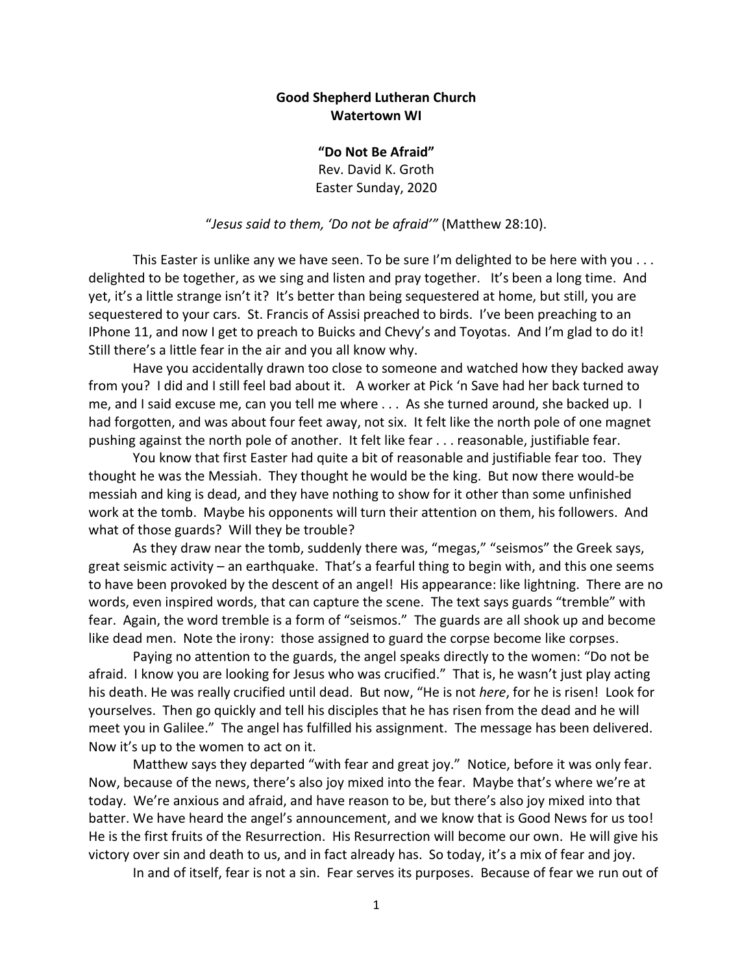## **Good Shepherd Lutheran Church Watertown WI**

**"Do Not Be Afraid"** Rev. David K. Groth Easter Sunday, 2020

"*Jesus said to them, 'Do not be afraid'"* (Matthew 28:10).

This Easter is unlike any we have seen. To be sure I'm delighted to be here with you . . . delighted to be together, as we sing and listen and pray together. It's been a long time. And yet, it's a little strange isn't it? It's better than being sequestered at home, but still, you are sequestered to your cars. St. Francis of Assisi preached to birds. I've been preaching to an IPhone 11, and now I get to preach to Buicks and Chevy's and Toyotas. And I'm glad to do it! Still there's a little fear in the air and you all know why.

Have you accidentally drawn too close to someone and watched how they backed away from you? I did and I still feel bad about it. A worker at Pick 'n Save had her back turned to me, and I said excuse me, can you tell me where . . . As she turned around, she backed up. I had forgotten, and was about four feet away, not six. It felt like the north pole of one magnet pushing against the north pole of another. It felt like fear . . . reasonable, justifiable fear.

You know that first Easter had quite a bit of reasonable and justifiable fear too. They thought he was the Messiah. They thought he would be the king. But now there would-be messiah and king is dead, and they have nothing to show for it other than some unfinished work at the tomb. Maybe his opponents will turn their attention on them, his followers. And what of those guards? Will they be trouble?

As they draw near the tomb, suddenly there was, "megas," "seismos" the Greek says, great seismic activity – an earthquake. That's a fearful thing to begin with, and this one seems to have been provoked by the descent of an angel! His appearance: like lightning. There are no words, even inspired words, that can capture the scene. The text says guards "tremble" with fear. Again, the word tremble is a form of "seismos." The guards are all shook up and become like dead men. Note the irony: those assigned to guard the corpse become like corpses.

Paying no attention to the guards, the angel speaks directly to the women: "Do not be afraid. I know you are looking for Jesus who was crucified." That is, he wasn't just play acting his death. He was really crucified until dead. But now, "He is not *here*, for he is risen! Look for yourselves. Then go quickly and tell his disciples that he has risen from the dead and he will meet you in Galilee." The angel has fulfilled his assignment. The message has been delivered. Now it's up to the women to act on it.

Matthew says they departed "with fear and great joy." Notice, before it was only fear. Now, because of the news, there's also joy mixed into the fear. Maybe that's where we're at today. We're anxious and afraid, and have reason to be, but there's also joy mixed into that batter. We have heard the angel's announcement, and we know that is Good News for us too! He is the first fruits of the Resurrection. His Resurrection will become our own. He will give his victory over sin and death to us, and in fact already has. So today, it's a mix of fear and joy.

In and of itself, fear is not a sin. Fear serves its purposes. Because of fear we run out of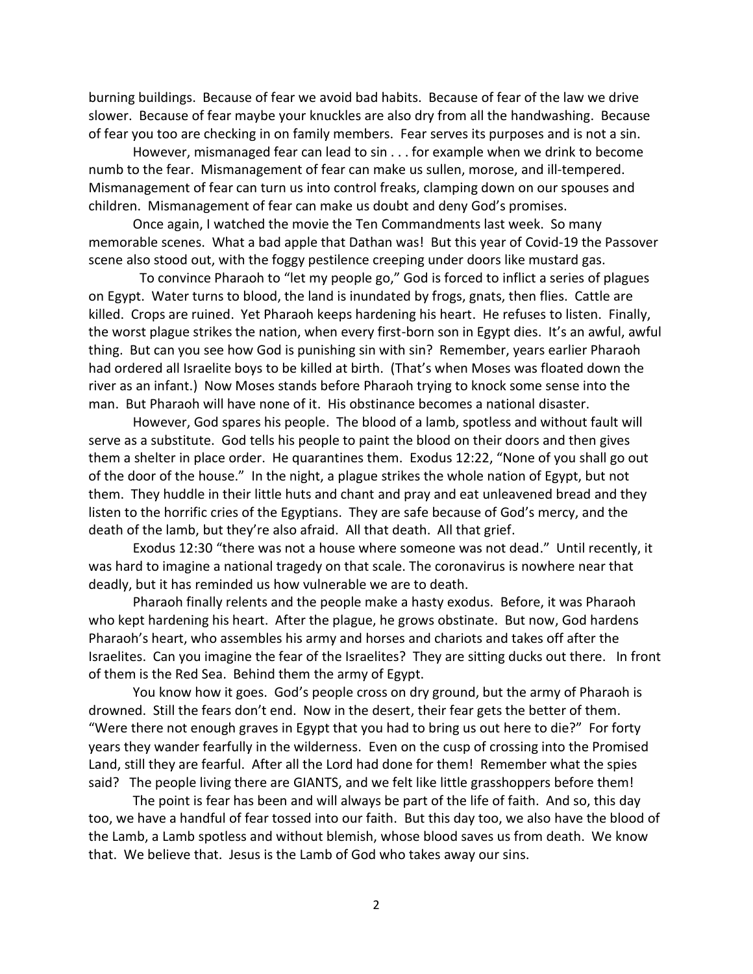burning buildings. Because of fear we avoid bad habits. Because of fear of the law we drive slower. Because of fear maybe your knuckles are also dry from all the handwashing. Because of fear you too are checking in on family members. Fear serves its purposes and is not a sin.

However, mismanaged fear can lead to sin . . . for example when we drink to become numb to the fear. Mismanagement of fear can make us sullen, morose, and ill-tempered. Mismanagement of fear can turn us into control freaks, clamping down on our spouses and children. Mismanagement of fear can make us doubt and deny God's promises.

Once again, I watched the movie the Ten Commandments last week. So many memorable scenes. What a bad apple that Dathan was! But this year of Covid-19 the Passover scene also stood out, with the foggy pestilence creeping under doors like mustard gas.

 To convince Pharaoh to "let my people go," God is forced to inflict a series of plagues on Egypt. Water turns to blood, the land is inundated by frogs, gnats, then flies. Cattle are killed. Crops are ruined. Yet Pharaoh keeps hardening his heart. He refuses to listen. Finally, the worst plague strikes the nation, when every first-born son in Egypt dies. It's an awful, awful thing. But can you see how God is punishing sin with sin? Remember, years earlier Pharaoh had ordered all Israelite boys to be killed at birth. (That's when Moses was floated down the river as an infant.) Now Moses stands before Pharaoh trying to knock some sense into the man. But Pharaoh will have none of it. His obstinance becomes a national disaster.

However, God spares his people. The blood of a lamb, spotless and without fault will serve as a substitute. God tells his people to paint the blood on their doors and then gives them a shelter in place order. He quarantines them. Exodus 12:22, "None of you shall go out of the door of the house." In the night, a plague strikes the whole nation of Egypt, but not them. They huddle in their little huts and chant and pray and eat unleavened bread and they listen to the horrific cries of the Egyptians. They are safe because of God's mercy, and the death of the lamb, but they're also afraid. All that death. All that grief.

Exodus 12:30 "there was not a house where someone was not dead." Until recently, it was hard to imagine a national tragedy on that scale. The coronavirus is nowhere near that deadly, but it has reminded us how vulnerable we are to death.

Pharaoh finally relents and the people make a hasty exodus. Before, it was Pharaoh who kept hardening his heart. After the plague, he grows obstinate. But now, God hardens Pharaoh's heart, who assembles his army and horses and chariots and takes off after the Israelites. Can you imagine the fear of the Israelites? They are sitting ducks out there. In front of them is the Red Sea. Behind them the army of Egypt.

You know how it goes. God's people cross on dry ground, but the army of Pharaoh is drowned. Still the fears don't end. Now in the desert, their fear gets the better of them. "Were there not enough graves in Egypt that you had to bring us out here to die?" For forty years they wander fearfully in the wilderness. Even on the cusp of crossing into the Promised Land, still they are fearful. After all the Lord had done for them! Remember what the spies said? The people living there are GIANTS, and we felt like little grasshoppers before them!

The point is fear has been and will always be part of the life of faith. And so, this day too, we have a handful of fear tossed into our faith. But this day too, we also have the blood of the Lamb, a Lamb spotless and without blemish, whose blood saves us from death. We know that. We believe that. Jesus is the Lamb of God who takes away our sins.